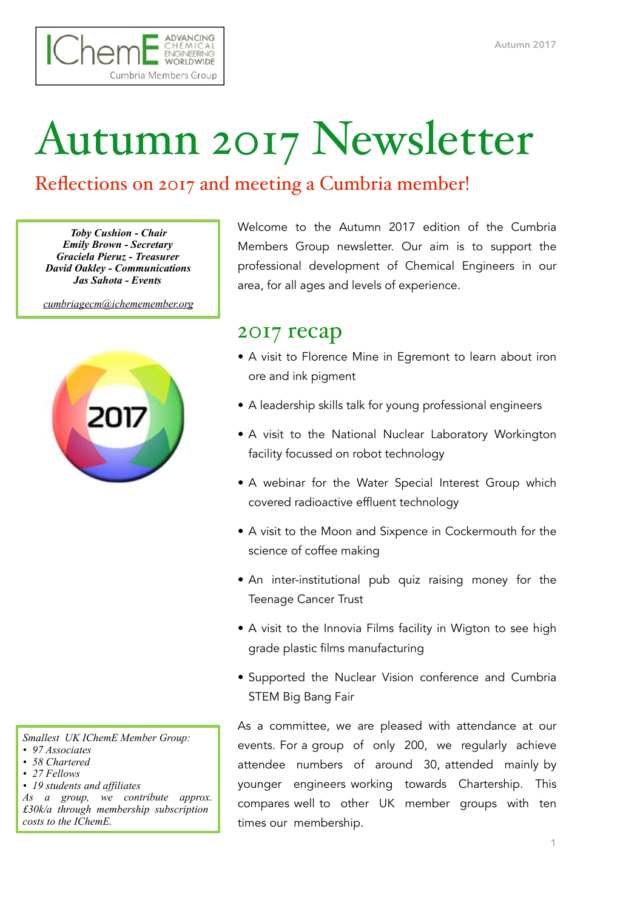

## Autumn 2017 Newsletter

## Reflections on 2017 and meeting a Cumbria member!

*Toby Cushion - Chair Emily Brown - Secretary Graciela Pieruz - Treasurer David Oakley - Communications Jas Sahota - Events* 

*[cumbriagecm@ichememember.org](mailto:cumbriagecm@ichememember.org)*



*Smallest UK IChemE Member Group:* 

- *• 97 Associates*
- *• 58 Chartered*
- *• 27 Fellows*
- *• 19 students and affiliates*

*As a group, we contribute approx. £30k/a through membership subscription costs to the IChemE.* 

Welcome to the Autumn 2017 edition of the Cumbria Members Group newsletter. Our aim is to support the professional development of Chemical Engineers in our area, for all ages and levels of experience.

## 2017 recap

- A visit to Florence Mine in Egremont to learn about iron ore and ink pigment
- A leadership skills talk for young professional engineers
- A visit to the National Nuclear Laboratory Workington facility focussed on robot technology
- A webinar for the Water Special Interest Group which covered radioactive effluent technology
- A visit to the Moon and Sixpence in Cockermouth for the science of coffee making
- An inter-institutional pub quiz raising money for the Teenage Cancer Trust
- A visit to the Innovia Films facility in Wigton to see high grade plastic films manufacturing
- Supported the Nuclear Vision conference and Cumbria STEM Big Bang Fair

As a committee, we are pleased with attendance at our events. For a group of only 200, we regularly achieve attendee numbers of around 30, attended mainly by younger engineers working towards Chartership. This compares well to other UK member groups with ten times our membership.